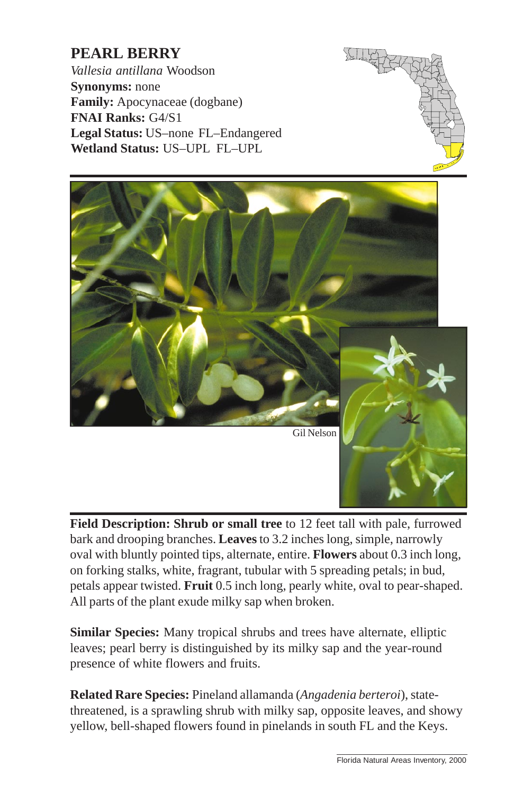## **PEARL BERRY**

*Vallesia antillana* Woodson **Synonyms:** none **Family:** Apocynaceae (dogbane) **FNAI Ranks:** G4/S1 **Legal Status:** US–none FL–Endangered **Wetland Status:** US–UPL FL–UPL





**Field Description: Shrub or small tree** to 12 feet [tall with pale, furrowed](http://www.fnai.org) bark and drooping branches. **Leaves** to 3.2 inches long, simple, narrowly oval with bluntly pointed tips, alternate, entire. **Flowers** about 0.3 inch long, on forking stalks, white, fragrant, tubular with 5 spreading petals; in bud, petals appear twisted. **Fruit** 0.5 inch long, pearly white, oval to pear-shaped. All parts of the plant exude milky sap when broken.

**Similar Species:** Many tropical shrubs and trees have alternate, elliptic leaves; pearl berry is distinguished by its milky sap and the year-round presence of white flowers and fruits.

**Related Rare Species:** Pineland allamanda (*Angadenia berteroi*), statethreatened, is a sprawling shrub with milky sap, opposite leaves, and showy yellow, bell-shaped flowers found in pinelands in south FL and the Keys.